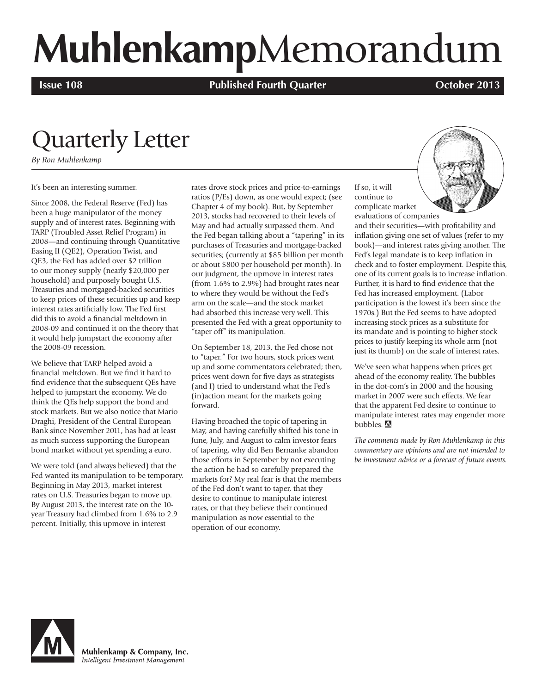# **Muhlenkamp**Memorandum

**Issue 108 Published Fourth Quarter Published Fourth Quarter Published Fourth Quarter Published Fourth Quarter** 

## Quarterly Letter

*By Ron Muhlenkamp*

It's been an interesting summer.

Since 2008, the Federal Reserve (Fed) has been a huge manipulator of the money supply and of interest rates. Beginning with TARP (Troubled Asset Relief Program) in 2008—and continuing through Quantitative Easing II (QE2), Operation Twist, and QE3, the Fed has added over \$2 trillion to our money supply (nearly \$20,000 per household) and purposely bought U.S. Treasuries and mortgaged-backed securities to keep prices of these securities up and keep interest rates artificially low. The Fed first did this to avoid a financial meltdown in 2008-09 and continued it on the theory that it would help jumpstart the economy after the 2008-09 recession.

We believe that TARP helped avoid a financial meltdown. But we find it hard to find evidence that the subsequent QEs have helped to jumpstart the economy. We do think the QEs help support the bond and stock markets. But we also notice that Mario Draghi, President of the Central European Bank since November 2011, has had at least as much success supporting the European bond market without yet spending a euro.

We were told (and always believed) that the Fed wanted its manipulation to be temporary. Beginning in May 2013, market interest rates on U.S. Treasuries began to move up. By August 2013, the interest rate on the 10 year Treasury had climbed from 1.6% to 2.9 percent. Initially, this upmove in interest

rates drove stock prices and price-to-earnings ratios (P/Es) down, as one would expect; (see Chapter 4 of my book). But, by September 2013, stocks had recovered to their levels of May and had actually surpassed them. And the Fed began talking about a "tapering" in its purchases of Treasuries and mortgage-backed securities; (currently at \$85 billion per month or about \$800 per household per month). In our judgment, the upmove in interest rates (from 1.6% to 2.9%) had brought rates near to where they would be without the Fed's arm on the scale—and the stock market had absorbed this increase very well. This presented the Fed with a great opportunity to "taper off" its manipulation.

On September 18, 2013, the Fed chose not to "taper." For two hours, stock prices went up and some commentators celebrated; then, prices went down for five days as strategists (and I) tried to understand what the Fed's (in)action meant for the markets going forward.

Having broached the topic of tapering in May, and having carefully shifted his tone in June, July, and August to calm investor fears of tapering, why did Ben Bernanke abandon those efforts in September by not executing the action he had so carefully prepared the markets for? My real fear is that the members of the Fed don't want to taper, that they desire to continue to manipulate interest rates, or that they believe their continued manipulation as now essential to the operation of our economy.

If so, it will continue to complicate market evaluations of companies



and their securities—with profitability and inflation giving one set of values (refer to my book)—and interest rates giving another. The Fed's legal mandate is to keep inflation in check and to foster employment. Despite this, one of its current goals is to increase inflation. Further, it is hard to find evidence that the Fed has increased employment. (Labor participation is the lowest it's been since the 1970s.) But the Fed seems to have adopted increasing stock prices as a substitute for its mandate and is pointing to higher stock prices to justify keeping its whole arm (not just its thumb) on the scale of interest rates.

We've seen what happens when prices get ahead of the economy reality. The bubbles in the dot-com's in 2000 and the housing market in 2007 were such effects. We fear that the apparent Fed desire to continue to manipulate interest rates may engender more bubbles.

*The comments made by Ron Muhlenkamp in this commentary are opinions and are not intended to be investment advice or a forecast of future events.*



Muhlenkamp & Company, Inc. Intelligent Investment Management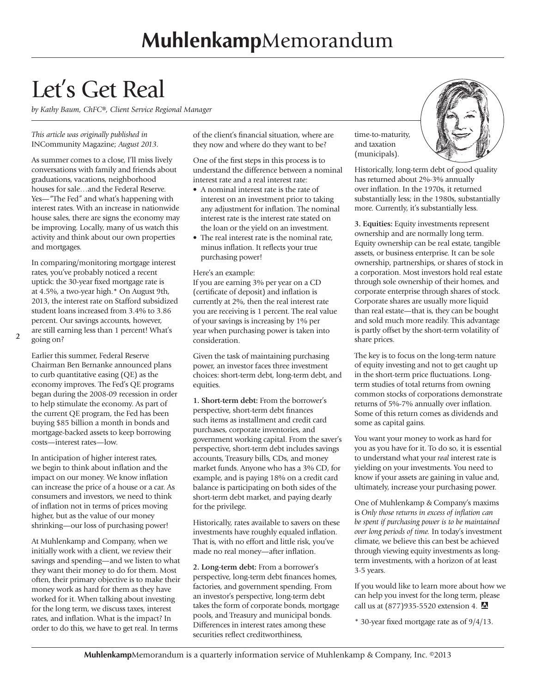## Let's Get Real

*by Kathy Baum, ChFC®, Client Service Regional Manager*

#### *This article was originally published in*  INCommunity Magazine; *August 2013.*

As summer comes to a close, I'll miss lively conversations with family and friends about graduations, vacations, neighborhood houses for sale…and the Federal Reserve. Yes—"The Fed" and what's happening with interest rates. With an increase in nationwide house sales, there are signs the economy may be improving. Locally, many of us watch this activity and think about our own properties and mortgages.

In comparing/monitoring mortgage interest rates, you've probably noticed a recent uptick: the 30-year fixed mortgage rate is at 4.5%, a two-year high.\* On August 9th, 2013, the interest rate on Stafford subsidized student loans increased from 3.4% to 3.86 percent. Our savings accounts, however, are still earning less than 1 percent! What's going on?

**2**

Earlier this summer, Federal Reserve Chairman Ben Bernanke announced plans to curb quantitative easing (QE) as the economy improves. The Fed's QE programs began during the 2008-09 recession in order to help stimulate the economy. As part of the current QE program, the Fed has been buying \$85 billion a month in bonds and mortgage-backed assets to keep borrowing costs—interest rates—low.

In anticipation of higher interest rates, we begin to think about inflation and the impact on our money. We know inflation can increase the price of a house or a car. As consumers and investors, we need to think of inflation not in terms of prices moving higher, but as the value of our money shrinking—our loss of purchasing power!

At Muhlenkamp and Company, when we initially work with a client, we review their savings and spending—and we listen to what they want their money to do for them. Most often, their primary objective is to make their money work as hard for them as they have worked for it. When talking about investing for the long term, we discuss taxes, interest rates, and inflation. What is the impact? In order to do this, we have to get real. In terms

of the client's financial situation, where are they now and where do they want to be?

One of the first steps in this process is to understand the difference between a nominal interest rate and a real interest rate:

- A nominal interest rate is the rate of interest on an investment prior to taking any adjustment for inflation. The nominal interest rate is the interest rate stated on the loan or the yield on an investment.
- The real interest rate is the nominal rate, minus inflation. It reflects your true purchasing power!

#### Here's an example:

If you are earning 3% per year on a CD (certificate of deposit) and inflation is currently at 2%, then the real interest rate you are receiving is 1 percent. The real value of your savings is increasing by 1% per year when purchasing power is taken into consideration.

Given the task of maintaining purchasing power, an investor faces three investment choices: short-term debt, long-term debt, and equities.

**1. Short-term debt:** From the borrower's perspective, short-term debt finances such items as installment and credit card purchases, corporate inventories, and government working capital. From the saver's perspective, short-term debt includes savings accounts, Treasury bills, CDs, and money market funds. Anyone who has a 3% CD, for example, and is paying 18% on a credit card balance is participating on both sides of the short-term debt market, and paying dearly for the privilege.

Historically, rates available to savers on these investments have roughly equaled inflation. That is, with no effort and little risk, you've made no real money—after inflation.

**2. Long-term debt:** From a borrower's perspective, long-term debt finances homes, factories, and government spending. From an investor's perspective, long-term debt takes the form of corporate bonds, mortgage pools, and Treasury and municipal bonds. Differences in interest rates among these securities reflect creditworthiness,

time-to-maturity, and taxation (municipals).

Historically, long-term debt of good quality has returned about 2%-3% annually over inflation. In the 1970s, it returned substantially less; in the 1980s, substantially more. Currently, it's substantially less.

**3. Equities:** Equity investments represent ownership and are normally long term. Equity ownership can be real estate, tangible assets, or business enterprise. It can be sole ownership, partnerships, or shares of stock in a corporation. Most investors hold real estate through sole ownership of their homes, and corporate enterprise through shares of stock. Corporate shares are usually more liquid than real estate—that is, they can be bought and sold much more readily. This advantage is partly offset by the short-term volatility of share prices.

The key is to focus on the long-term nature of equity investing and not to get caught up in the short-term price fluctuations. Longterm studies of total returns from owning common stocks of corporations demonstrate returns of 5%-7% annually over inflation. Some of this return comes as dividends and some as capital gains.

You want your money to work as hard for you as you have for it. To do so, it is essential to understand what your *real* interest rate is yielding on your investments. You need to know if your assets are gaining in value and, ultimately, increase your purchasing power.

One of Muhlenkamp & Company's maxims is *Only those returns in excess of inflation can be spent if purchasing power is to be maintained over long periods of time.* In today's investment climate, we believe this can best be achieved through viewing equity investments as longterm investments, with a horizon of at least 3-5 years.

If you would like to learn more about how we can help you invest for the long term, please call us at (877)935-5520 extension 4.

\* 30-year fixed mortgage rate as of 9/4/13.

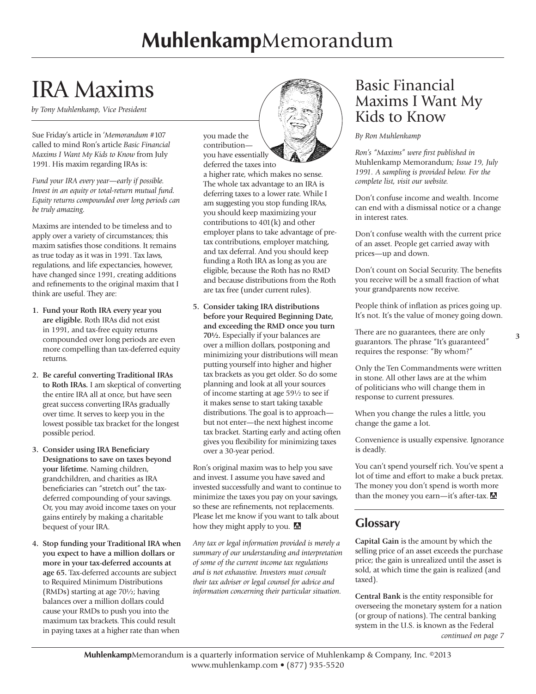## IRA Maxims

*by Tony Muhlenkamp, Vice President*

Sue Friday's article in '*Memorandum* #107 called to mind Ron's article *Basic Financial Maxims I Want My Kids to Know* from July 1991. His maxim regarding IRAs is:

*Fund your IRA every year—early if possible. Invest in an equity or total-return mutual fund. Equity returns compounded over long periods can be truly amazing.*

Maxims are intended to be timeless and to apply over a variety of circumstances; this maxim satisfies those conditions. It remains as true today as it was in 1991. Tax laws, regulations, and life expectancies, however, have changed since 1991, creating additions and refinements to the original maxim that I think are useful. They are:

- **1. Fund your Roth IRA every year you are eligible.** Roth IRAs did not exist in 1991, and tax-free equity returns compounded over long periods are even more compelling than tax-deferred equity returns.
- **2. Be careful converting Traditional IRAs to Roth IRAs.** I am skeptical of converting the entire IRA all at once, but have seen great success converting IRAs gradually over time. It serves to keep you in the lowest possible tax bracket for the longest possible period.
- **3. Consider using IRA Beneficiary Designations to save on taxes beyond your lifetime.** Naming children, grandchildren, and charities as IRA beneficiaries can "stretch out" the taxdeferred compounding of your savings. Or, you may avoid income taxes on your gains entirely by making a charitable bequest of your IRA.
- **4. Stop funding your Traditional IRA when you expect to have a million dollars or more in your tax-deferred accounts at age 65.** Tax-deferred accounts are subject to Required Minimum Distributions (RMDs) starting at age 70½; having balances over a million dollars could cause your RMDs to push you into the maximum tax brackets. This could result in paying taxes at a higher rate than when

you made the contribution you have essentially

deferred the taxes into a higher rate, which makes no sense. The whole tax advantage to an IRA is deferring taxes to a lower rate. While I am suggesting you stop funding IRAs, you should keep maximizing your contributions to 401(k) and other employer plans to take advantage of pretax contributions, employer matching, and tax deferral. And you should keep funding a Roth IRA as long as you are eligible, because the Roth has no RMD and because distributions from the Roth are tax free (under current rules).

**5. Consider taking IRA distributions before your Required Beginning Date, and exceeding the RMD once you turn 70½.** Especially if your balances are over a million dollars, postponing and minimizing your distributions will mean putting yourself into higher and higher tax brackets as you get older. So do some planning and look at all your sources of income starting at age 59½ to see if it makes sense to start taking taxable distributions. The goal is to approach but not enter—the next highest income tax bracket. Starting early and acting often gives you flexibility for minimizing taxes over a 30-year period.

Ron's original maxim was to help you save and invest. I assume you have saved and invested successfully and want to continue to minimize the taxes you pay on your savings, so these are refinements, not replacements. Please let me know if you want to talk about how they might apply to you. M

*Any tax or legal information provided is merely a summary of our understanding and interpretation of some of the current income tax regulations and is not exhaustive. Investors must consult their tax adviser or legal counsel for advice and information concerning their particular situation.* 

## Basic Financial Maxims I Want My Kids to Know

### *By Ron Muhlenkamp*

*Ron's "Maxims" were first published in*  Muhlenkamp Memorandum*; Issue 19, July 1991. A sampling is provided below. For the complete list, visit our website.*

Don't confuse income and wealth. Income can end with a dismissal notice or a change in interest rates.

Don't confuse wealth with the current price of an asset. People get carried away with prices—up and down.

Don't count on Social Security. The benefits you receive will be a small fraction of what your grandparents now receive.

People think of inflation as prices going up. It's not. It's the value of money going down.

There are no guarantees, there are only guarantors. The phrase "It's guaranteed" requires the response: "By whom?"

Only the Ten Commandments were written in stone. All other laws are at the whim of politicians who will change them in response to current pressures.

When you change the rules a little, you change the game a lot.

Convenience is usually expensive. Ignorance is deadly.

You can't spend yourself rich. You've spent a lot of time and effort to make a buck pretax. The money you don't spend is worth more than the money you earn—it's after-tax.  $\blacksquare$ 

## **Glossary**

**Capital Gain** is the amount by which the selling price of an asset exceeds the purchase price; the gain is unrealized until the asset is sold, at which time the gain is realized (and taxed).

**Central Bank** is the entity responsible for overseeing the monetary system for a nation (or group of nations). The central banking system in the U.S. is known as the Federal *continued on page 7* **3**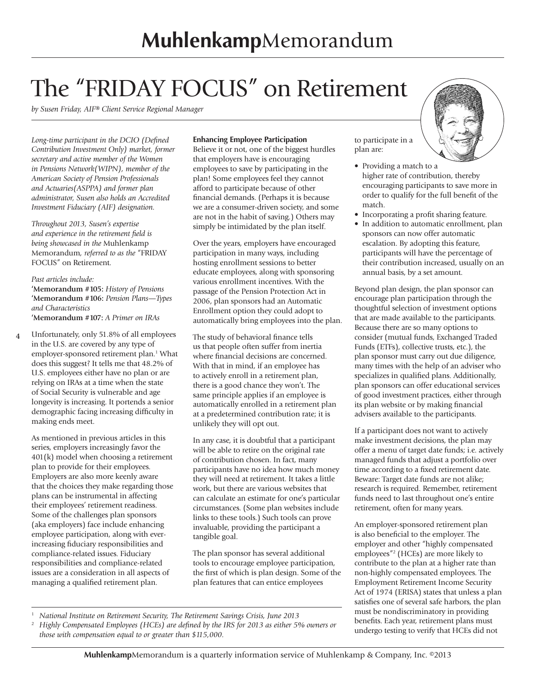## The "FRIDAY FOCUS" on Retirement

*by Susen Friday, AIF® Client Service Regional Manager*

*Long-time participant in the DCIO (Defined Contribution Investment Only) market, former secretary and active member of the Women in Pensions Network(WIPN), member of the American Society of Pension Professionals and Actuaries(ASPPA) and former plan administrator, Susen also holds an Accredited Investment Fiduciary (AIF) designation.*

*Throughout 2013, Susen's expertise and experience in the retirement field is being showcased in the* Muhlenkamp Memorandum*, referred to as the* "FRIDAY FOCUS" on Retirement*.* 

## *Past articles include:*

**'Memorandum #105:** *History of Pensions* **'Memorandum #106:** *Pension Plans—Types and Characteristics* **'Memorandum #107:** *A Primer on IRAs*

**4** Unfortunately, only 51.8% of all employees in the U.S. are covered by any type of employer-sponsored retirement plan.<sup>1</sup> What does this suggest? It tells me that 48.2% of U.S. employees either have no plan or are relying on IRAs at a time when the state of Social Security is vulnerable and age longevity is increasing. It portends a senior demographic facing increasing difficulty in making ends meet.

As mentioned in previous articles in this series, employers increasingly favor the 401(k) model when choosing a retirement plan to provide for their employees. Employers are also more keenly aware that the choices they make regarding those plans can be instrumental in affecting their employees' retirement readiness. Some of the challenges plan sponsors (aka employers) face include enhancing employee participation, along with everincreasing fiduciary responsibilities and compliance-related issues. Fiduciary responsibilities and compliance-related issues are a consideration in all aspects of managing a qualified retirement plan.

## **Enhancing Employee Participation**

Believe it or not, one of the biggest hurdles that employers have is encouraging employees to save by participating in the plan! Some employees feel they cannot afford to participate because of other financial demands. (Perhaps it is because we are a consumer-driven society, and some are not in the habit of saving.) Others may simply be intimidated by the plan itself.

Over the years, employers have encouraged participation in many ways, including hosting enrollment sessions to better educate employees, along with sponsoring various enrollment incentives. With the passage of the Pension Protection Act in 2006, plan sponsors had an Automatic Enrollment option they could adopt to automatically bring employees into the plan.

The study of behavioral finance tells us that people often suffer from inertia where financial decisions are concerned. With that in mind, if an employee has to actively enroll in a retirement plan, there is a good chance they won't. The same principle applies if an employee is automatically enrolled in a retirement plan at a predetermined contribution rate; it is unlikely they will opt out.

In any case, it is doubtful that a participant will be able to retire on the original rate of contribution chosen. In fact, many participants have no idea how much money they will need at retirement. It takes a little work, but there are various websites that can calculate an estimate for one's particular circumstances. (Some plan websites include links to these tools.) Such tools can prove invaluable, providing the participant a tangible goal.

The plan sponsor has several additional tools to encourage employee participation, the first of which is plan design. Some of the plan features that can entice employees

to participate in a plan are:

- Providing a match to a higher rate of contribution, thereby encouraging participants to save more in order to qualify for the full benefit of the match.
- Incorporating a profit sharing feature.
- In addition to automatic enrollment, plan sponsors can now offer automatic escalation. By adopting this feature, participants will have the percentage of their contribution increased, usually on an annual basis, by a set amount.

Beyond plan design, the plan sponsor can encourage plan participation through the thoughtful selection of investment options that are made available to the participants. Because there are so many options to consider (mutual funds, Exchanged Traded Funds (ETFs), collective trusts, etc.), the plan sponsor must carry out due diligence, many times with the help of an adviser who specializes in qualified plans. Additionally, plan sponsors can offer educational services of good investment practices, either through its plan website or by making financial advisers available to the participants.

If a participant does not want to actively make investment decisions, the plan may offer a menu of target date funds; i.e. actively managed funds that adjust a portfolio over time according to a fixed retirement date. Beware: Target date funds are not alike; research is required. Remember, retirement funds need to last throughout one's entire retirement, often for many years.

An employer-sponsored retirement plan is also beneficial to the employer. The employer and other "highly compensated employees"2 (HCEs) are more likely to contribute to the plan at a higher rate than non-highly compensated employees. The Employment Retirement Income Security Act of 1974 (ERISA) states that unless a plan satisfies one of several safe harbors, the plan must be nondiscriminatory in providing benefits. Each year, retirement plans must undergo testing to verify that HCEs did not

<sup>1</sup> *National Institute on Retirement Security, The Retirement Savings Crisis, June 2013*

<sup>2</sup> *Highly Compensated Employees (HCEs) are defined by the IRS for 2013 as either 5% owners or those with compensation equal to or greater than \$115,000.*

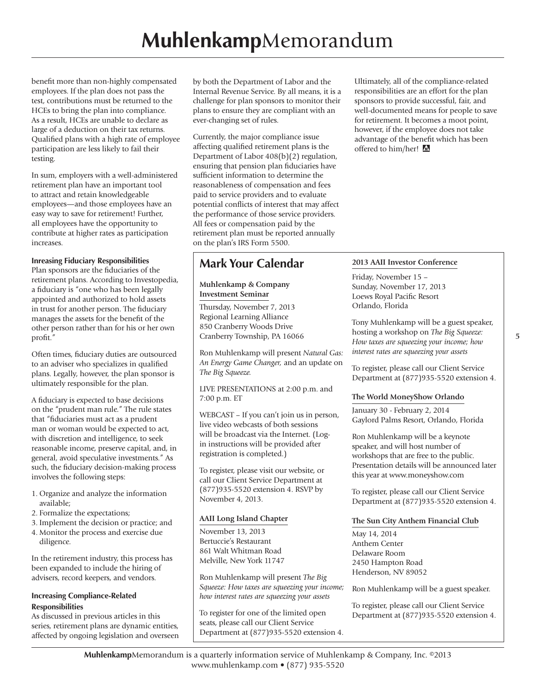benefit more than non-highly compensated employees. If the plan does not pass the test, contributions must be returned to the HCEs to bring the plan into compliance. As a result, HCEs are unable to declare as large of a deduction on their tax returns. Qualified plans with a high rate of employee participation are less likely to fail their testing.

In sum, employers with a well-administered retirement plan have an important tool to attract and retain knowledgeable employees—and those employees have an easy way to save for retirement! Further, all employees have the opportunity to contribute at higher rates as participation increases.

## **Inreasing Fiduciary Responsibilities**

Plan sponsors are the fiduciaries of the retirement plans. According to Investopedia, a fiduciary is "one who has been legally appointed and authorized to hold assets in trust for another person. The fiduciary manages the assets for the benefit of the other person rather than for his or her own profit."

Often times, fiduciary duties are outsourced to an adviser who specializes in qualified plans. Legally, however, the plan sponsor is ultimately responsible for the plan.

A fiduciary is expected to base decisions on the "prudent man rule." The rule states that "fiduciaries must act as a prudent man or woman would be expected to act, with discretion and intelligence, to seek reasonable income, preserve capital, and, in general, avoid speculative investments." As such, the fiduciary decision-making process involves the following steps:

- 1. Organize and analyze the information available;
- 2. Formalize the expectations;
- 3. Implement the decision or practice; and
- 4. Monitor the process and exercise due diligence.

In the retirement industry, this process has been expanded to include the hiring of advisers, record keepers, and vendors.

### **Increasing Compliance-Related Responsibilities**

As discussed in previous articles in this series, retirement plans are dynamic entities, affected by ongoing legislation and overseen by both the Department of Labor and the Internal Revenue Service. By all means, it is a challenge for plan sponsors to monitor their plans to ensure they are compliant with an ever-changing set of rules.

Currently, the major compliance issue affecting qualified retirement plans is the Department of Labor 408(b)(2) regulation, ensuring that pension plan fiduciaries have sufficient information to determine the reasonableness of compensation and fees paid to service providers and to evaluate potential conflicts of interest that may affect the performance of those service providers. All fees or compensation paid by the retirement plan must be reported annually on the plan's IRS Form 5500.

## **Mark Your Calendar**

### **Muhlenkamp & Company Investment Seminar**

Thursday, November 7, 2013 Regional Learning Alliance 850 Cranberry Woods Drive Cranberry Township, PA 16066

Ron Muhlenkamp will present *Natural Gas: An Energy Game Changer,* and an update on *The Big Squeeze.*

LIVE PRESENTATIONS at 2:00 p.m. and 7:00 p.m. ET

WEBCAST – If you can't join us in person, live video webcasts of both sessions will be broadcast via the Internet. (Login instructions will be provided after registration is completed.)

To register, please visit our website, or call our Client Service Department at (877)935-5520 extension 4. RSVP by November 4, 2013.

## **AAII Long Island Chapter**

November 13, 2013 Bertuccie's Restaurant 861 Walt Whitman Road Melville, New York 11747

Ron Muhlenkamp will present *The Big Squeeze: How taxes are squeezing your income; how interest rates are squeezing your assets*

To register for one of the limited open seats, please call our Client Service Department at (877)935-5520 extension 4.

Ultimately, all of the compliance-related responsibilities are an effort for the plan sponsors to provide successful, fair, and well-documented means for people to save for retirement. It becomes a moot point, however, if the employee does not take advantage of the benefit which has been offered to him/her!  $\triangle$ 

## **2013 AAII Investor Conference**

Friday, November 15 – Sunday, November 17, 2013 Loews Royal Pacific Resort Orlando, Florida

Tony Muhlenkamp will be a guest speaker, hosting a workshop on *The Big Squeeze: How taxes are squeezing your income; how interest rates are squeezing your assets*

To register, please call our Client Service Department at (877)935-5520 extension 4.

## **The World MoneyShow Orlando**

January 30 - February 2, 2014 Gaylord Palms Resort, Orlando, Florida

Ron Muhlenkamp will be a keynote speaker, and will host number of workshops that are free to the public. Presentation details will be announced later this year at www.moneyshow.com

To register, please call our Client Service Department at (877)935-5520 extension 4.

## **The Sun City Anthem Financial Club**

May 14, 2014 Anthem Center Delaware Room 2450 Hampton Road Henderson, NV 89052

Ron Muhlenkamp will be a guest speaker.

To register, please call our Client Service Department at (877)935-5520 extension 4.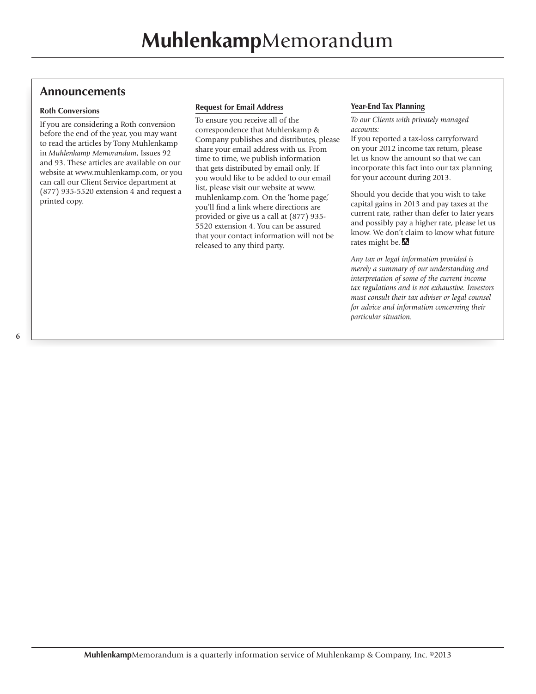## **Announcements**

### **Roth Conversions**

If you are considering a Roth conversion before the end of the year, you may want to read the articles by Tony Muhlenkamp in *Muhlenkamp Memorandum*, Issues 92 and 93. These articles are available on our website at www.muhlenkamp.com, or you can call our Client Service department at (877) 935-5520 extension 4 and request a printed copy.

### **Request for Email Address**

To ensure you receive all of the correspondence that Muhlenkamp & Company publishes and distributes, please share your email address with us. From time to time, we publish information that gets distributed by email only. If you would like to be added to our email list, please visit our website at www. muhlenkamp.com. On the 'home page,' you'll find a link where directions are provided or give us a call at (877) 935- 5520 extension 4. You can be assured that your contact information will not be released to any third party.

### **Year-End Tax Planning**

*To our Clients with privately managed accounts:* 

If you reported a tax-loss carryforward on your 2012 income tax return, please let us know the amount so that we can incorporate this fact into our tax planning for your account during 2013.

Should you decide that you wish to take capital gains in 2013 and pay taxes at the current rate, rather than defer to later years and possibly pay a higher rate, please let us know. We don't claim to know what future rates might be.

*Any tax or legal information provided is merely a summary of our understanding and interpretation of some of the current income tax regulations and is not exhaustive. Investors must consult their tax adviser or legal counsel for advice and information concerning their particular situation.*